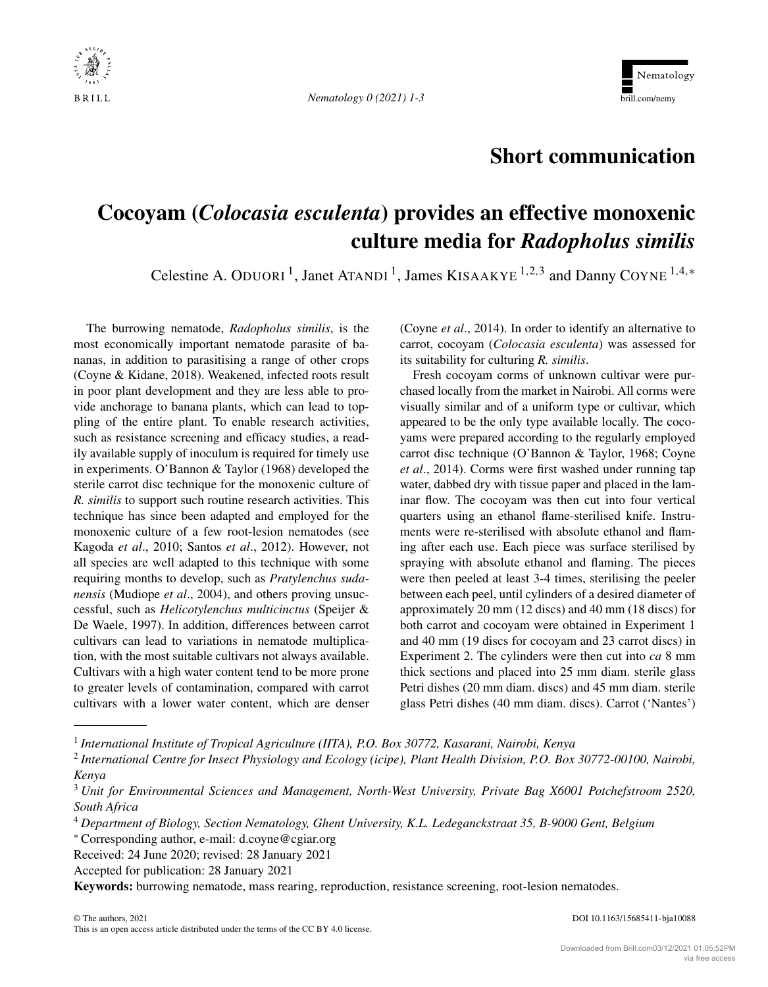



## **Short communication**

## **Cocoyam (***Colocasia esculenta***) provides an effective monoxenic culture media for** *Radopholus similis*

Celestine A. ODUORI<sup>1</sup>, Janet ATANDI<sup>1</sup>, James KISAAKYE<sup>1,2,3</sup> and Danny COYNE<sup>1,4,\*</sup>

The burrowing nematode, *Radopholus similis*, is the most economically important nematode parasite of bananas, in addition to parasitising a range of other crops (Coyne & Kidane, 2018). Weakened, infected roots result in poor plant development and they are less able to provide anchorage to banana plants, which can lead to toppling of the entire plant. To enable research activities, such as resistance screening and efficacy studies, a readily available supply of inoculum is required for timely use in experiments. O'Bannon & Taylor (1968) developed the sterile carrot disc technique for the monoxenic culture of *R. similis* to support such routine research activities. This technique has since been adapted and employed for the monoxenic culture of a few root-lesion nematodes (see Kagoda *et al*., 2010; Santos *et al*., 2012). However, not all species are well adapted to this technique with some requiring months to develop, such as *Pratylenchus sudanensis* (Mudiope *et al*., 2004), and others proving unsuccessful, such as *Helicotylenchus multicinctus* (Speijer & De Waele, 1997). In addition, differences between carrot cultivars can lead to variations in nematode multiplication, with the most suitable cultivars not always available. Cultivars with a high water content tend to be more prone to greater levels of contamination, compared with carrot cultivars with a lower water content, which are denser (Coyne *et al*., 2014). In order to identify an alternative to carrot, cocoyam (*Colocasia esculenta*) was assessed for its suitability for culturing *R. similis*.

Fresh cocoyam corms of unknown cultivar were purchased locally from the market in Nairobi. All corms were visually similar and of a uniform type or cultivar, which appeared to be the only type available locally. The cocoyams were prepared according to the regularly employed carrot disc technique (O'Bannon & Taylor, 1968; Coyne *et al*., 2014). Corms were first washed under running tap water, dabbed dry with tissue paper and placed in the laminar flow. The cocoyam was then cut into four vertical quarters using an ethanol flame-sterilised knife. Instruments were re-sterilised with absolute ethanol and flaming after each use. Each piece was surface sterilised by spraying with absolute ethanol and flaming. The pieces were then peeled at least 3-4 times, sterilising the peeler between each peel, until cylinders of a desired diameter of approximately 20 mm (12 discs) and 40 mm (18 discs) for both carrot and cocoyam were obtained in Experiment 1 and 40 mm (19 discs for cocoyam and 23 carrot discs) in Experiment 2. The cylinders were then cut into *ca* 8 mm thick sections and placed into 25 mm diam. sterile glass Petri dishes (20 mm diam. discs) and 45 mm diam. sterile glass Petri dishes (40 mm diam. discs). Carrot ('Nantes')

<sup>1</sup> *International Institute of Tropical Agriculture (IITA), P.O. Box 30772, Kasarani, Nairobi, Kenya*

<sup>2</sup> *International Centre for Insect Physiology and Ecology (icipe), Plant Health Division, P.O. Box 30772-00100, Nairobi, Kenya*

<sup>3</sup> *Unit for Environmental Sciences and Management, North-West University, Private Bag X6001 Potchefstroom 2520, South Africa*

<sup>4</sup> *Department of Biology, Section Nematology, Ghent University, K.L. Ledeganckstraat 35, B-9000 Gent, Belgium*

<sup>∗</sup> Corresponding author, e-mail: [d.coyne@cgiar.org](mailto:d.coyne@cgiar.org)

Received: 24 June 2020; revised: 28 January 2021

Accepted for publication: 28 January 2021

**Keywords:** burrowing nematode, mass rearing, reproduction, resistance screening, root-lesion nematodes.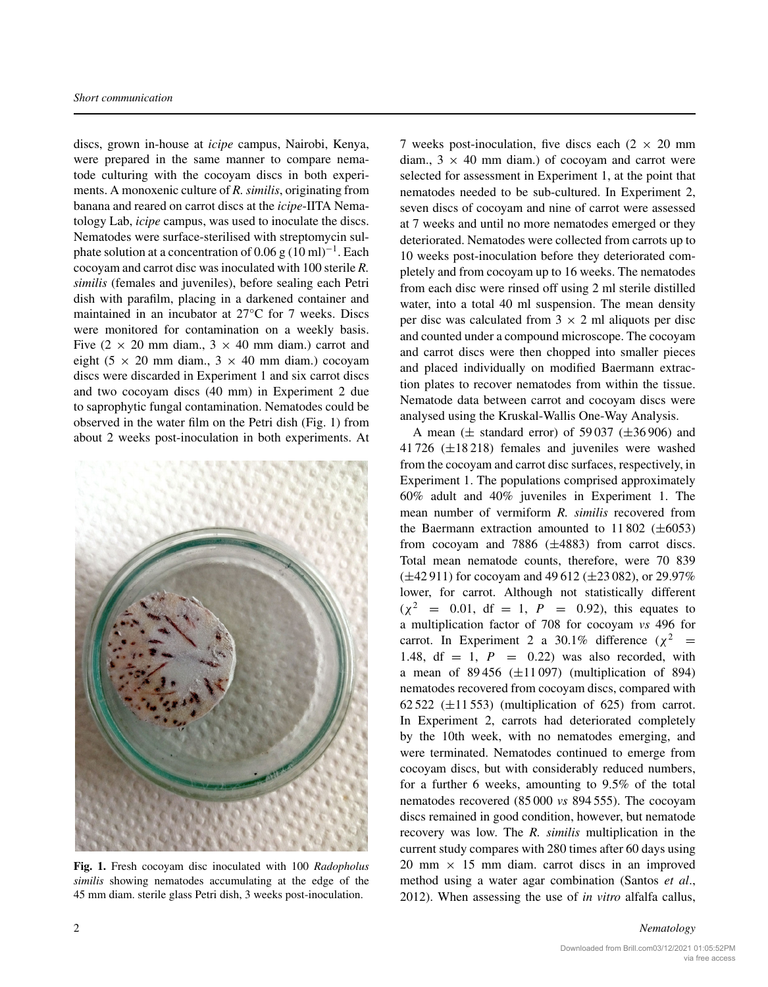discs, grown in-house at *icipe* campus, Nairobi, Kenya, were prepared in the same manner to compare nematode culturing with the cocoyam discs in both experiments. A monoxenic culture of *R. similis*, originating from banana and reared on carrot discs at the *icipe*-IITA Nematology Lab, *icipe* campus, was used to inoculate the discs. Nematodes were surface-sterilised with streptomycin sulphate solution at a concentration of 0.06 g  $(10 \text{ ml})^{-1}$ . Each cocoyam and carrot disc was inoculated with 100 sterile *R. similis* (females and juveniles), before sealing each Petri dish with parafilm, placing in a darkened container and maintained in an incubator at 27°C for 7 weeks. Discs were monitored for contamination on a weekly basis. Five  $(2 \times 20 \text{ mm} \text{ diam.}, 3 \times 40 \text{ mm} \text{ diam.})$  carrot and eight (5  $\times$  20 mm diam., 3  $\times$  40 mm diam.) cocoyam discs were discarded in Experiment 1 and six carrot discs and two cocoyam discs (40 mm) in Experiment 2 due to saprophytic fungal contamination. Nematodes could be observed in the water film on the Petri dish (Fig. 1) from about 2 weeks post-inoculation in both experiments. At



**Fig. 1.** Fresh cocoyam disc inoculated with 100 *Radopholus similis* showing nematodes accumulating at the edge of the 45 mm diam. sterile glass Petri dish, 3 weeks post-inoculation.

7 weeks post-inoculation, five discs each  $(2 \times 20 \text{ mm})$ diam.,  $3 \times 40$  mm diam.) of cocoyam and carrot were selected for assessment in Experiment 1, at the point that nematodes needed to be sub-cultured. In Experiment 2, seven discs of cocoyam and nine of carrot were assessed at 7 weeks and until no more nematodes emerged or they deteriorated. Nematodes were collected from carrots up to 10 weeks post-inoculation before they deteriorated completely and from cocoyam up to 16 weeks. The nematodes from each disc were rinsed off using 2 ml sterile distilled water, into a total 40 ml suspension. The mean density per disc was calculated from  $3 \times 2$  ml aliquots per disc and counted under a compound microscope. The cocoyam and carrot discs were then chopped into smaller pieces and placed individually on modified Baermann extraction plates to recover nematodes from within the tissue. Nematode data between carrot and cocoyam discs were analysed using the Kruskal-Wallis One-Way Analysis.

A mean ( $\pm$  standard error) of 59 037 ( $\pm$ 36 906) and 41 726  $(\pm 18218)$  females and juveniles were washed from the cocoyam and carrot disc surfaces, respectively, in Experiment 1. The populations comprised approximately 60% adult and 40% juveniles in Experiment 1. The mean number of vermiform *R. similis* recovered from the Baermann extraction amounted to  $11\,802$  ( $\pm 6053$ ) from cocoyam and 7886  $(\pm 4883)$  from carrot discs. Total mean nematode counts, therefore, were 70 839  $(\pm 42911)$  for cocoyam and 49 612 ( $\pm 23082$ ), or 29.97% lower, for carrot. Although not statistically different  $(\chi^2 = 0.01, df = 1, P = 0.92)$ , this equates to a multiplication factor of 708 for cocoyam *vs* 496 for carrot. In Experiment 2 a 30.1% difference  $(\chi^2$  = 1.48,  $df = 1$ ,  $P = 0.22$  was also recorded, with a mean of  $89\,456$  ( $\pm$ 11097) (multiplication of 894) nematodes recovered from cocoyam discs, compared with 62 522 ( $\pm$ 11 553) (multiplication of 625) from carrot. In Experiment 2, carrots had deteriorated completely by the 10th week, with no nematodes emerging, and were terminated. Nematodes continued to emerge from cocoyam discs, but with considerably reduced numbers, for a further 6 weeks, amounting to 9.5% of the total nematodes recovered (85 000 *vs* 894 555). The cocoyam discs remained in good condition, however, but nematode recovery was low. The *R. similis* multiplication in the current study compares with 280 times after 60 days using  $20$  mm  $\times$  15 mm diam. carrot discs in an improved method using a water agar combination (Santos *et al*., 2012). When assessing the use of *in vitro* alfalfa callus,